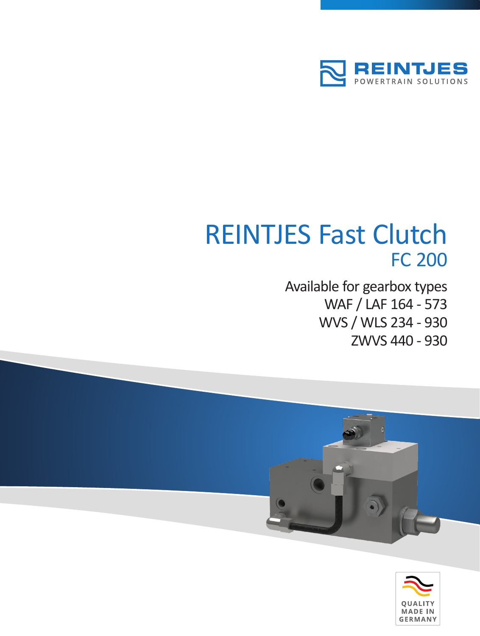

# REINTJES Fast Clutch FC 200

Available for gearbox types WAF / LAF 164 - 573 WVS / WLS 234 - 930 ZWVS 440 - 930



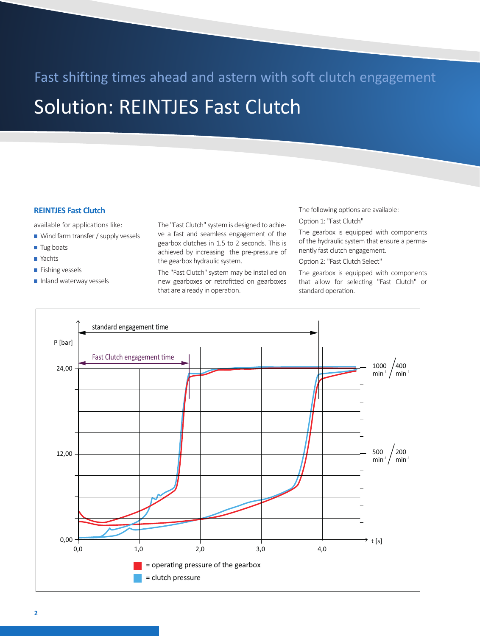### Fast shifting times ahead and astern with soft clutch engagement

## Solution: REINTJES Fast Clutch

#### **REINTJES Fast Clutch**

available for applications like:

- Wind farm transfer / supply vessels
- Tug boats
- Yachts
- **Fishing vessels**
- Inland waterway vessels

The "Fast Clutch" system is designed to achieve a fast and seamless engagement of the gearbox clutches in 1.5 to 2 seconds. This is achieved by increasing the pre-pressure of the gearbox hydraulic system.

The "Fast Clutch" system may be installed on new gearboxes or retrofitted on gearboxes that are already in operation.

The following options are available:

Option 1: "Fast Clutch"

The gearbox is equipped with components of the hydraulic system that ensure a permanently fast clutch engagement.

Option 2: "Fast Clutch Select"

The gearbox is equipped with components that allow for selecting "Fast Clutch" or standard operation.

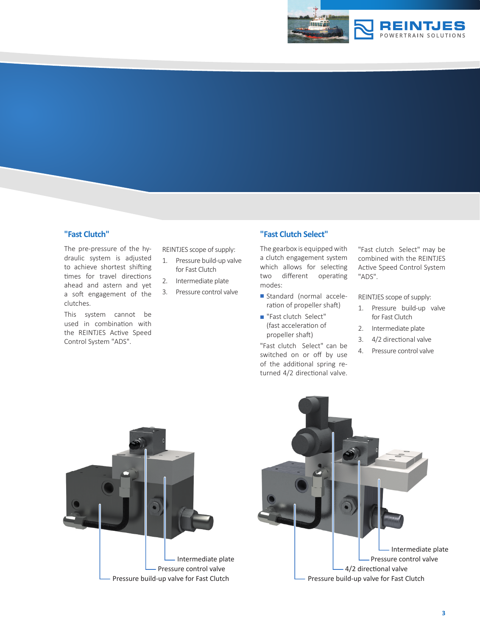

#### **"Fast Clutch"**

The pre-pressure of the hydraulic system is adjusted to achieve shortest shifting times for travel directions ahead and astern and yet a soft engagement of the clutches.

This system cannot be used in combination with the REINTJES Active Speed Control System "ADS".

REINTJES scope of supply:

- 1. Pressure build-up valve for Fast Clutch
- 2. Intermediate plate
- 3. Pressure control valve

#### **"Fast Clutch Select"**

The gearbox is equipped with a clutch engagement system which allows for selecting two different operating modes:

- Standard (normal acceleration of propeller shaft)
- Fast clutch Select" (fast acceleration of propeller shaft)

"Fast clutch Select" can be switched on or off by use of the additional spring returned 4/2 directional valve. "Fast clutch Select" may be combined with the REINTJES Active Speed Control System "ADS".

REINTJES scope of supply:

- 1. Pressure build-up valve for Fast Clutch
- 2. Intermediate plate
- 3. 4/2 directional valve
- 4. Pressure control valve